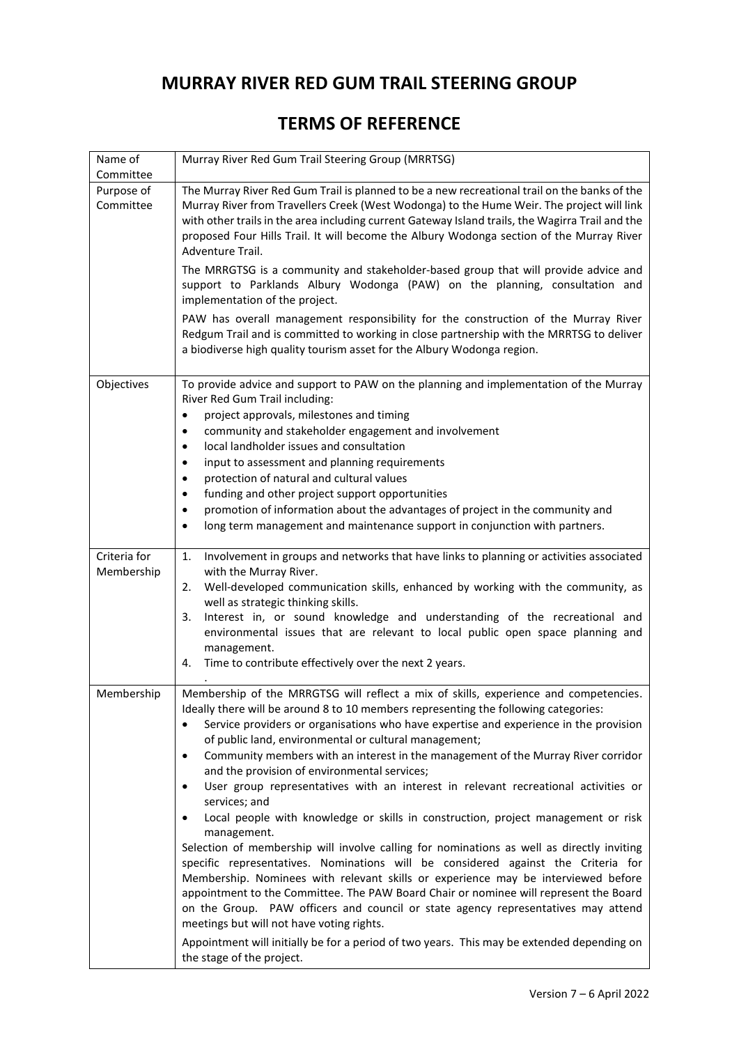## **MURRAY RIVER RED GUM TRAIL STEERING GROUP**

## **TERMS OF REFERENCE**

| Name of                              | Murray River Red Gum Trail Steering Group (MRRTSG)                                                                                                                                                                                                       |
|--------------------------------------|----------------------------------------------------------------------------------------------------------------------------------------------------------------------------------------------------------------------------------------------------------|
| Committee<br>Purpose of<br>Committee | The Murray River Red Gum Trail is planned to be a new recreational trail on the banks of the<br>Murray River from Travellers Creek (West Wodonga) to the Hume Weir. The project will link                                                                |
|                                      | with other trails in the area including current Gateway Island trails, the Wagirra Trail and the<br>proposed Four Hills Trail. It will become the Albury Wodonga section of the Murray River<br>Adventure Trail.                                         |
|                                      | The MRRGTSG is a community and stakeholder-based group that will provide advice and<br>support to Parklands Albury Wodonga (PAW) on the planning, consultation and<br>implementation of the project.                                                     |
|                                      | PAW has overall management responsibility for the construction of the Murray River<br>Redgum Trail and is committed to working in close partnership with the MRRTSG to deliver<br>a biodiverse high quality tourism asset for the Albury Wodonga region. |
| Objectives                           | To provide advice and support to PAW on the planning and implementation of the Murray<br>River Red Gum Trail including:                                                                                                                                  |
|                                      | project approvals, milestones and timing<br>$\bullet$<br>community and stakeholder engagement and involvement                                                                                                                                            |
|                                      | local landholder issues and consultation                                                                                                                                                                                                                 |
|                                      | input to assessment and planning requirements                                                                                                                                                                                                            |
|                                      | protection of natural and cultural values<br>$\bullet$<br>funding and other project support opportunities<br>٠                                                                                                                                           |
|                                      | promotion of information about the advantages of project in the community and<br>$\bullet$                                                                                                                                                               |
|                                      | long term management and maintenance support in conjunction with partners.<br>$\bullet$                                                                                                                                                                  |
| Criteria for                         | Involvement in groups and networks that have links to planning or activities associated<br>1.                                                                                                                                                            |
| Membership                           | with the Murray River.<br>Well-developed communication skills, enhanced by working with the community, as<br>2.                                                                                                                                          |
|                                      | well as strategic thinking skills.                                                                                                                                                                                                                       |
|                                      | Interest in, or sound knowledge and understanding of the recreational and<br>3.<br>environmental issues that are relevant to local public open space planning and<br>management.                                                                         |
|                                      | Time to contribute effectively over the next 2 years.<br>4.                                                                                                                                                                                              |
| Membership                           | Membership of the MRRGTSG will reflect a mix of skills, experience and competencies.                                                                                                                                                                     |
|                                      | Ideally there will be around 8 to 10 members representing the following categories:<br>Service providers or organisations who have expertise and experience in the provision<br>$\bullet$<br>of public land, environmental or cultural management;       |
|                                      | Community members with an interest in the management of the Murray River corridor<br>$\bullet$<br>and the provision of environmental services;                                                                                                           |
|                                      | User group representatives with an interest in relevant recreational activities or<br>services; and                                                                                                                                                      |
|                                      | Local people with knowledge or skills in construction, project management or risk<br>management.                                                                                                                                                         |
|                                      | Selection of membership will involve calling for nominations as well as directly inviting<br>specific representatives. Nominations will be considered against the Criteria for                                                                           |
|                                      | Membership. Nominees with relevant skills or experience may be interviewed before                                                                                                                                                                        |
|                                      | appointment to the Committee. The PAW Board Chair or nominee will represent the Board<br>on the Group. PAW officers and council or state agency representatives may attend<br>meetings but will not have voting rights.                                  |
|                                      | Appointment will initially be for a period of two years. This may be extended depending on<br>the stage of the project.                                                                                                                                  |